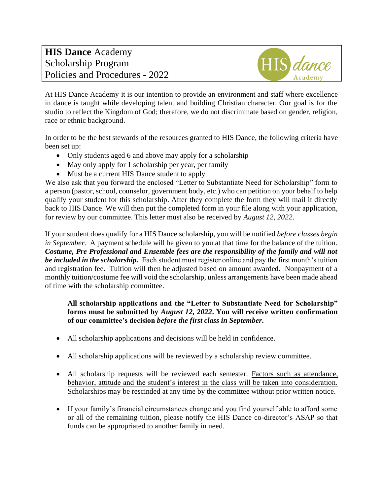

At HIS Dance Academy it is our intention to provide an environment and staff where excellence in dance is taught while developing talent and building Christian character. Our goal is for the studio to reflect the Kingdom of God; therefore, we do not discriminate based on gender, religion, race or ethnic background.

In order to be the best stewards of the resources granted to HIS Dance, the following criteria have been set up:

- Only students aged 6 and above may apply for a scholarship
- May only apply for 1 scholarship per year, per family
- Must be a current HIS Dance student to apply

We also ask that you forward the enclosed "Letter to Substantiate Need for Scholarship" form to a person (pastor, school, counselor, government body, etc.) who can petition on your behalf to help qualify your student for this scholarship. After they complete the form they will mail it directly back to HIS Dance. We will then put the completed form in your file along with your application, for review by our committee. This letter must also be received by *August 12, 2022*.

If your student does qualify for a HIS Dance scholarship, you will be notified *before classes begin in September.* A payment schedule will be given to you at that time for the balance of the tuition. *Costume, Pre Professional and Ensemble fees are the responsibility of the family and will not be included in the scholarship.* Each student must register online and pay the first month's tuition and registration fee. Tuition will then be adjusted based on amount awarded. Nonpayment of a monthly tuition/costume fee will void the scholarship, unless arrangements have been made ahead of time with the scholarship committee.

#### **All scholarship applications and the "Letter to Substantiate Need for Scholarship" forms must be submitted by** *August 12, 2022***. You will receive written confirmation of our committee's decision** *before the first class in September.*

- All scholarship applications and decisions will be held in confidence.
- All scholarship applications will be reviewed by a scholarship review committee.
- All scholarship requests will be reviewed each semester. Factors such as attendance, behavior, attitude and the student's interest in the class will be taken into consideration. Scholarships may be rescinded at any time by the committee without prior written notice.
- If your family's financial circumstances change and you find yourself able to afford some or all of the remaining tuition, please notify the HIS Dance co-director's ASAP so that funds can be appropriated to another family in need.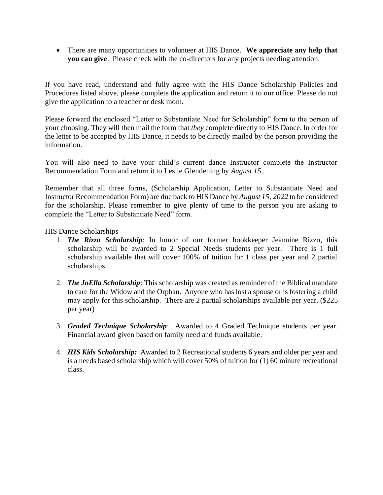• There are many opportunities to volunteer at HIS Dance. **We appreciate any help that you can give**. Please check with the co-directors for any projects needing attention.

If you have read, understand and fully agree with the HIS Dance Scholarship Policies and Procedures listed above, please complete the application and return it to our office. Please do not give the application to a teacher or desk mom.

Please forward the enclosed "Letter to Substantiate Need for Scholarship" form to the person of your choosing. They will then mail the form that *they* complete directly to HIS Dance. In order for the letter to be accepted by HIS Dance, it needs to be directly mailed by the person providing the information.

You will also need to have your child's current dance Instructor complete the Instructor Recommendation Form and return it to Leslie Glendening by *August 15.*

Remember that all three forms, (Scholarship Application, Letter to Substantiate Need and Instructor Recommendation Form) are due back to HIS Dance by *August 15, 2022* to be considered for the scholarship. Please remember to give plenty of time to the person you are asking to complete the "Letter to Substantiate Need" form.

HIS Dance Scholarships

- 1. *The Rizzo Scholarship*: In honor of our former bookkeeper Jeannine Rizzo, this scholarship will be awarded to 2 Special Needs students per year. There is 1 full scholarship available that will cover 100% of tuition for 1 class per year and 2 partial scholarships.
- 2. *The JoElla Scholarship*: This scholarship was created as reminder of the Biblical mandate to care for the Widow and the Orphan. Anyone who has lost a spouse or is fostering a child may apply for this scholarship. There are 2 partial scholarships available per year. (\$225 per year)
- 3. *Graded Technique Scholarship*: Awarded to 4 Graded Technique students per year. Financial award given based on family need and funds available.
- 4. *HIS Kids Scholarship:* Awarded to 2 Recreational students 6 years and older per year and is a needs based scholarship which will cover 50% of tuition for (1) 60 minute recreational class.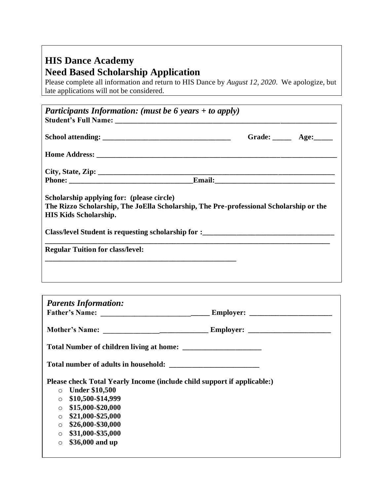# **HIS Dance Academy Need Based Scholarship Application**

Please complete all information and return to HIS Dance by *August 12, 2020*. We apologize, but late applications will not be considered.

| Participants Information: (must be 6 years + to apply)                                                                                                              |  |                           |
|---------------------------------------------------------------------------------------------------------------------------------------------------------------------|--|---------------------------|
|                                                                                                                                                                     |  | Grade: $\_\_\_\_\_\$ Age: |
|                                                                                                                                                                     |  |                           |
|                                                                                                                                                                     |  |                           |
|                                                                                                                                                                     |  |                           |
| Scholarship applying for: (please circle)<br>The Rizzo Scholarship, The JoElla Scholarship, The Pre-professional Scholarship or the<br><b>HIS Kids Scholarship.</b> |  |                           |
|                                                                                                                                                                     |  |                           |
| Class/level Student is requesting scholarship for :                                                                                                                 |  |                           |

| <b>Parents Information:</b>                                                                                                                                                                                                                                                                     |  |  |  |  |  |
|-------------------------------------------------------------------------------------------------------------------------------------------------------------------------------------------------------------------------------------------------------------------------------------------------|--|--|--|--|--|
|                                                                                                                                                                                                                                                                                                 |  |  |  |  |  |
|                                                                                                                                                                                                                                                                                                 |  |  |  |  |  |
|                                                                                                                                                                                                                                                                                                 |  |  |  |  |  |
| Please check Total Yearly Income (include child support if applicable:)<br>$\circ$ Under \$10,500<br>\$10,500-\$14,999<br>$\circ$<br>\$15,000-\$20,000<br>$\circ$<br>\$21,000-\$25,000<br>$\circ$<br>\$26,000-\$30,000<br>$\circ$<br>\$31,000-\$35,000<br>$\circ$<br>\$36,000 and up<br>$\circ$ |  |  |  |  |  |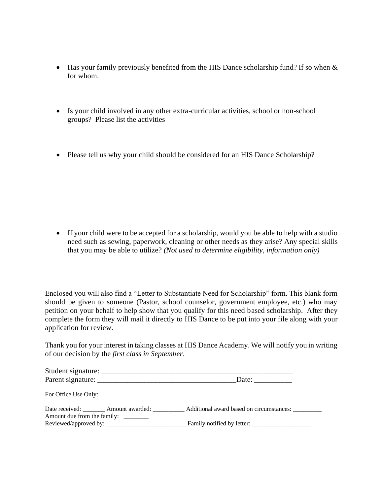- Has your family previously benefited from the HIS Dance scholarship fund? If so when  $\&$ for whom.
- Is your child involved in any other extra-curricular activities, school or non-school groups?Please list the activities
- Please tell us why your child should be considered for an HIS Dance Scholarship?

• If your child were to be accepted for a scholarship, would you be able to help with a studio need such as sewing, paperwork, cleaning or other needs as they arise? Any special skills that you may be able to utilize? *(Not used to determine eligibility, information only)*

Enclosed you will also find a "Letter to Substantiate Need for Scholarship" form. This blank form should be given to someone (Pastor, school counselor, government employee, etc.) who may petition on your behalf to help show that you qualify for this need based scholarship. After they complete the form they will mail it directly to HIS Dance to be put into your file along with your application for review.

Thank you for your interest in taking classes at HIS Dance Academy. We will notify you in writing of our decision by the *first class in September*.

|                                                                              | Date:                                             |  |  |  |
|------------------------------------------------------------------------------|---------------------------------------------------|--|--|--|
| For Office Use Only:                                                         |                                                   |  |  |  |
| Date received: ________ Amount awarded: _____<br>Amount due from the family: | Additional award based on circumstances: ________ |  |  |  |
| Reviewed/approved by:                                                        |                                                   |  |  |  |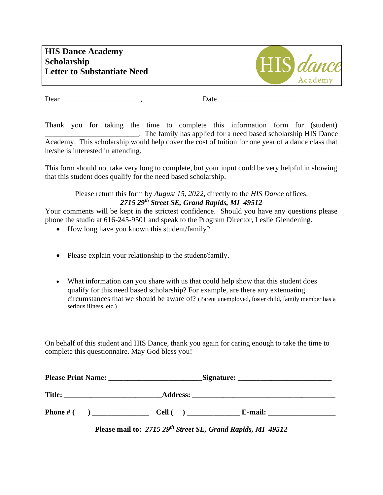

Dear \_\_\_\_\_\_\_\_\_\_\_\_\_\_\_\_\_\_\_\_\_, Date \_\_\_\_\_\_\_\_\_\_\_\_\_\_\_\_\_\_\_\_\_

Thank you for taking the time to complete this information form for (student) \_\_\_\_\_\_\_\_\_\_\_\_\_\_\_\_\_\_\_\_\_\_\_\_\_. The family has applied for a need based scholarship HIS Dance Academy. This scholarship would help cover the cost of tuition for one year of a dance class that he/she is interested in attending.

This form should not take very long to complete, but your input could be very helpful in showing that this student does qualify for the need based scholarship.

#### Please return this form by *August 15, 2022*, directly to the *HIS Dance* offices. *2715 29th Street SE, Grand Rapids, MI 49512*

Your comments will be kept in the strictest confidence. Should you have any questions please phone the studio at 616-245-9501 and speak to the Program Director, Leslie Glendening.

- How long have you known this student/family?
- Please explain your relationship to the student/family.
- What information can you share with us that could help show that this student does qualify for this need based scholarship? For example, are there any extenuating circumstances that we should be aware of? (Parent unemployed, foster child, family member has a serious illness, etc.)

On behalf of this student and HIS Dance, thank you again for caring enough to take the time to complete this questionnaire. May God bless you!

| <b>Please Print Name:</b> |  | Signature:      |         |  |
|---------------------------|--|-----------------|---------|--|
| <b>Title:</b>             |  | <b>Address:</b> |         |  |
| <b>Phone</b> # $($        |  | Cell (          | E-mail: |  |

**Please mail to:** *2715 29th Street SE, Grand Rapids, MI 49512*